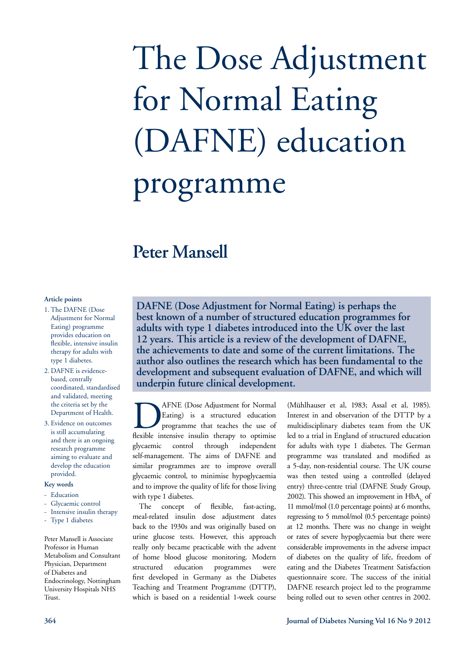# The Dose Adjustment for Normal Eating (DAFNE) education programme

# **Peter Mansell**

# **Article points**

- 1. The DAFNE (Dose Adjustment for Normal Eating) programme provides education on flexible, intensive insulin therapy for adults with type 1 diabetes.
- 2. DAFNE is evidencebased, centrally coordinated, standardised and validated, meeting the criteria set by the Department of Health.
- 3. Evidence on outcomes is still accumulating and there is an ongoing research programme aiming to evaluate and develop the education provided.

#### **Key words**

- Education
- Glycaemic control
- Intensive insulin therapy
- Type 1 diabetes

Peter Mansell is Associate Professor in Human Metabolism and Consultant Physician, Department of Diabetes and Endocrinology, Nottingham University Hospitals NHS Trust.

**DAFNE (Dose Adjustment for Normal Eating) is perhaps the best known of a number of structured education programmes for adults with type 1 diabetes introduced into the UK over the last 12 years. This article is a review of the development of DAFNE, the achievements to date and some of the current limitations. The author also outlines the research which has been fundamental to the development and subsequent evaluation of DAFNE, and which will underpin future clinical development.**

**DAFNE** (Dose Adjustment for Normal<br>Eating) is a structured education<br>programme that teaches the use of<br>flexible intensive insulin therapy to optimise Eating) is a structured education programme that teaches the use of flexible intensive insulin therapy to optimise glycaemic control through independent self-management. The aims of DAFNE and similar programmes are to improve overall glycaemic control, to minimise hypoglycaemia and to improve the quality of life for those living with type 1 diabetes.

The concept of flexible, fast-acting, meal-related insulin dose adjustment dates back to the 1930s and was originally based on urine glucose tests. However, this approach really only became practicable with the advent of home blood glucose monitoring. Modern structured education programmes were first developed in Germany as the Diabetes Teaching and Treatment Programme (DTTP), which is based on a residential 1-week course

(Mühlhauser et al, 1983; Assal et al, 1985). Interest in and observation of the DTTP by a multidisciplinary diabetes team from the UK led to a trial in England of structured education for adults with type 1 diabetes. The German programme was translated and modified as a 5-day, non-residential course. The UK course was then tested using a controlled (delayed entry) three-centre trial (DAFNE Study Group, 2002). This showed an improvement in  $HbA<sub>l</sub>$  of 11 mmol/mol (1.0 percentage points) at 6 months, regressing to 5 mmol/mol (0.5 percentage points) at 12 months. There was no change in weight or rates of severe hypoglycaemia but there were considerable improvements in the adverse impact of diabetes on the quality of life, freedom of eating and the Diabetes Treatment Satisfaction questionnaire score. The success of the initial DAFNE research project led to the programme being rolled out to seven other centres in 2002.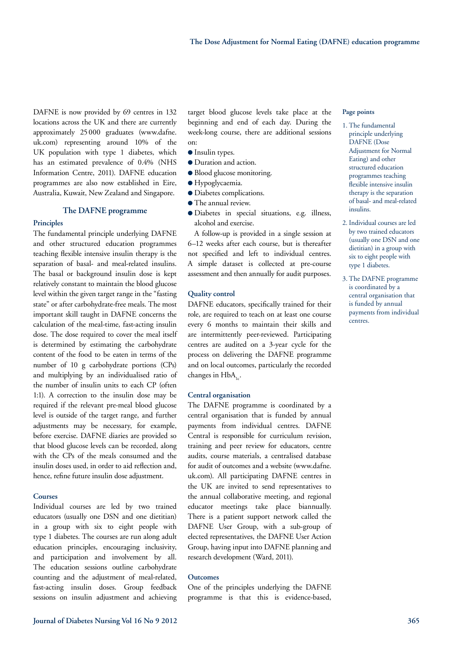DAFNE is now provided by 69 centres in 132 locations across the UK and there are currently approximately 25 000 graduates (www.dafne. uk.com) representing around 10% of the UK population with type 1 diabetes, which has an estimated prevalence of 0.4% (NHS Information Centre, 2011). DAFNE education programmes are also now established in Eire, Australia, Kuwait, New Zealand and Singapore.

# **The DAFNE programme**

# **Principles**

The fundamental principle underlying DAFNE and other structured education programmes teaching flexible intensive insulin therapy is the separation of basal- and meal-related insulins. The basal or background insulin dose is kept relatively constant to maintain the blood glucose level within the given target range in the "fasting state" or after carbohydrate-free meals. The most important skill taught in DAFNE concerns the calculation of the meal-time, fast-acting insulin dose. The dose required to cover the meal itself is determined by estimating the carbohydrate content of the food to be eaten in terms of the number of 10 g carbohydrate portions (CPs) and multiplying by an individualised ratio of the number of insulin units to each CP (often 1:1). A correction to the insulin dose may be required if the relevant pre-meal blood glucose level is outside of the target range, and further adjustments may be necessary, for example, before exercise. DAFNE diaries are provided so that blood glucose levels can be recorded, along with the CPs of the meals consumed and the insulin doses used, in order to aid reflection and, hence, refine future insulin dose adjustment.

#### **Courses**

Individual courses are led by two trained educators (usually one DSN and one dietitian) in a group with six to eight people with type 1 diabetes. The courses are run along adult education principles, encouraging inclusivity, and participation and involvement by all. The education sessions outline carbohydrate counting and the adjustment of meal-related, fast-acting insulin doses. Group feedback sessions on insulin adjustment and achieving target blood glucose levels take place at the beginning and end of each day. During the week-long course, there are additional sessions on:

- **Insulin types.**
- $\bullet$  Duration and action.
- $\bullet$  Blood glucose monitoring.
- **e** Hypoglycaemia.
- $\bullet$  Diabetes complications.
- **•** The annual review.
- l Diabetes in special situations, e.g. illness, alcohol and exercise.

A follow-up is provided in a single session at 6–12 weeks after each course, but is thereafter not specified and left to individual centres. A simple dataset is collected at pre-course assessment and then annually for audit purposes.

#### **Quality control**

DAFNE educators, specifically trained for their role, are required to teach on at least one course every 6 months to maintain their skills and are intermittently peer-reviewed. Participating centres are audited on a 3-year cycle for the process on delivering the DAFNE programme and on local outcomes, particularly the recorded changes in  $HbA_{1}$ .

# **Central organisation**

The DAFNE programme is coordinated by a central organisation that is funded by annual payments from individual centres. DAFNE Central is responsible for curriculum revision, training and peer review for educators, centre audits, course materials, a centralised database for audit of outcomes and a website (www.dafne. uk.com). All participating DAFNE centres in the UK are invited to send representatives to the annual collaborative meeting, and regional educator meetings take place biannually. There is a patient support network called the DAFNE User Group, with a sub-group of elected representatives, the DAFNE User Action Group, having input into DAFNE planning and research development (Ward, 2011).

#### **Outcomes**

One of the principles underlying the DAFNE programme is that this is evidence-based,

#### **Page points**

- 1. The fundamental principle underlying DAFNE (Dose Adjustment for Normal Eating) and other structured education programmes teaching flexible intensive insulin therapy is the separation of basal- and meal-related insulins.
- 2. Individual courses are led by two trained educators (usually one DSN and one dietitian) in a group with six to eight people with type 1 diabetes.
- 3. The DAFNE programme is coordinated by a central organisation that is funded by annual payments from individual centres.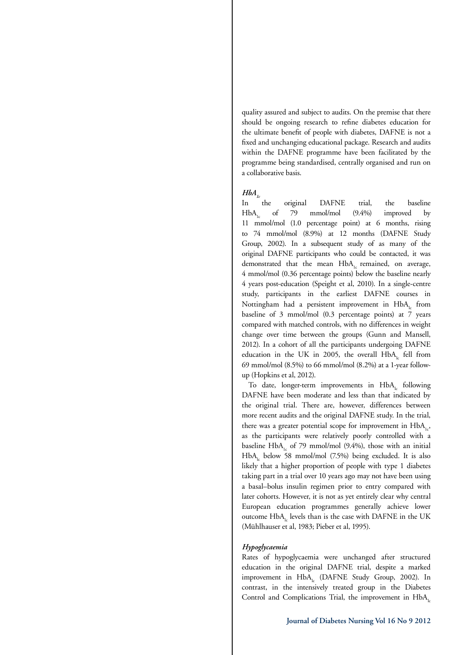quality assured and subject to audits. On the premise that there should be ongoing research to refine diabetes education for the ultimate benefit of people with diabetes, DAFNE is not a fixed and unchanging educational package. Research and audits within the DAFNE programme have been facilitated by the programme being standardised, centrally organised and run on a collaborative basis.

# $HbA<sub>c</sub>$

In the original DAFNE trial, the baseline  $HbA<sub>1c</sub>$  of 79 mmol/mol  $(9.4\%)$  improved by 11 mmol/mol (1.0 percentage point) at 6 months, rising to 74 mmol/mol (8.9%) at 12 months (DAFNE Study Group, 2002). In a subsequent study of as many of the original DAFNE participants who could be contacted, it was demonstrated that the mean HbA<sub>1</sub> remained, on average, 4 mmol/mol (0.36 percentage points) below the baseline nearly 4 years post-education (Speight et al, 2010). In a single-centre study, participants in the earliest DAFNE courses in Nottingham had a persistent improvement in  $HbA<sub>L</sub>$  from baseline of 3 mmol/mol (0.3 percentage points) at 7 years compared with matched controls, with no differences in weight change over time between the groups (Gunn and Mansell, 2012). In a cohort of all the participants undergoing DAFNE education in the UK in 2005, the overall  $HbA<sub>l</sub>$  fell from 69 mmol/mol (8.5%) to 66 mmol/mol (8.2%) at a 1-year followup (Hopkins et al, 2012).

To date, longer-term improvements in HbA<sub>la</sub> following DAFNE have been moderate and less than that indicated by the original trial. There are, however, differences between more recent audits and the original DAFNE study. In the trial, there was a greater potential scope for improvement in  $HbA_{1c}$ , as the participants were relatively poorly controlled with a baseline HbA<sub>1c</sub> of 79 mmol/mol (9.4%), those with an initial  $HbA<sub>l</sub>$  below 58 mmol/mol (7.5%) being excluded. It is also likely that a higher proportion of people with type 1 diabetes taking part in a trial over 10 years ago may not have been using a basal–bolus insulin regimen prior to entry compared with later cohorts. However, it is not as yet entirely clear why central European education programmes generally achieve lower outcome HbA<sub>1</sub> levels than is the case with DAFNE in the UK (Mühlhauser et al, 1983; Pieber et al, 1995).

# *Hypoglycaemia*

Rates of hypoglycaemia were unchanged after structured education in the original DAFNE trial, despite a marked improvement in HbA<sub>L</sub> (DAFNE Study Group, 2002). In contrast, in the intensively treated group in the Diabetes Control and Complications Trial, the improvement in  $HbA_1$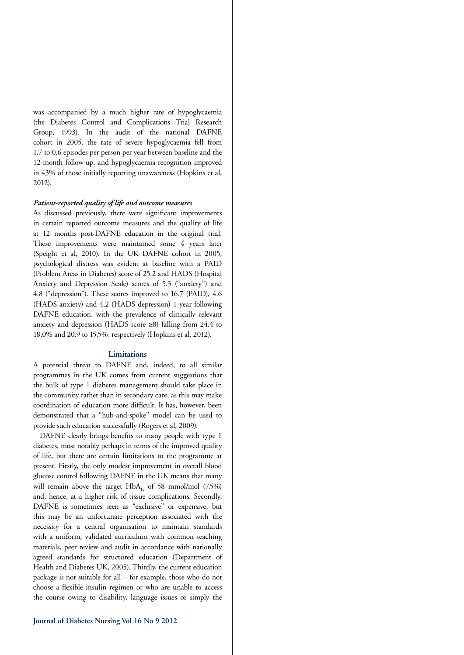was accompanied by a much higher rate of hypoglycaemia (the Diabetes Control and Complications Trial Research Group, 1993). In the audit of the national DAFNE cohort in 2005, the rate of severe hypoglycaemia fell from 1.7 to 0.6 episodes per person per year between baseline and the 12-month follow-up, and hypoglycaemia recognition improved in 43% of those initially reporting unawareness (Hopkins et al, 2012).

#### *Patient-reported quality of life and outcome measures*

As discussed previously, there were significant improvements in certain reported outcome measures and the quality of life at 12 months post-DAFNE education in the original trial. These improvements were maintained some 4 years later (Speight et al, 2010). In the UK DAFNE cohort in 2005, psychological distress was evident at baseline with a PAID (Problem Areas in Diabetes) score of 25.2 and HADS (Hospital Anxiety and Depression Scale) scores of 5.3 ("anxiety") and 4.8 ("depression"). These scores improved to 16.7 (PAID), 4.6 (HADS anxiety) and 4.2 (HADS depression) 1 year following DAFNE education, with the prevalence of clinically relevant anxiety and depression (HADS score ≥8) falling from 24.4 to 18.0% and 20.9 to 15.5%, respectively (Hopkins et al, 2012).

# **Limitations**

A potential threat to DAFNE and, indeed, to all similar programmes in the UK comes from current suggestions that the bulk of type 1 diabetes management should take place in the community rather than in secondary care, as this may make coordination of education more difficult. It has, however, been demonstrated that a "hub-and-spoke" model can be used to provide such education successfully (Rogers et al, 2009).

DAFNE clearly brings benefits to many people with type 1 diabetes, most notably perhaps in terms of the improved quality of life, but there are certain limitations to the programme at present. Firstly, the only modest improvement in overall blood glucose control following DAFNE in the UK means that many will remain above the target  $HbA<sub>1c</sub>$  of 58 mmol/mol (7.5%) and, hence, at a higher risk of tissue complications. Secondly, DAFNE is sometimes seen as "exclusive" or expensive, but this may be an unfortunate perception associated with the necessity for a central organisation to maintain standards with a uniform, validated curriculum with common teaching materials, peer review and audit in accordance with nationally agreed standards for structured education (Department of Health and Diabetes UK, 2005). Thirdly, the current education package is not suitable for all – for example, those who do not choose a flexible insulin regimen or who are unable to access the course owing to disability, language issues or simply the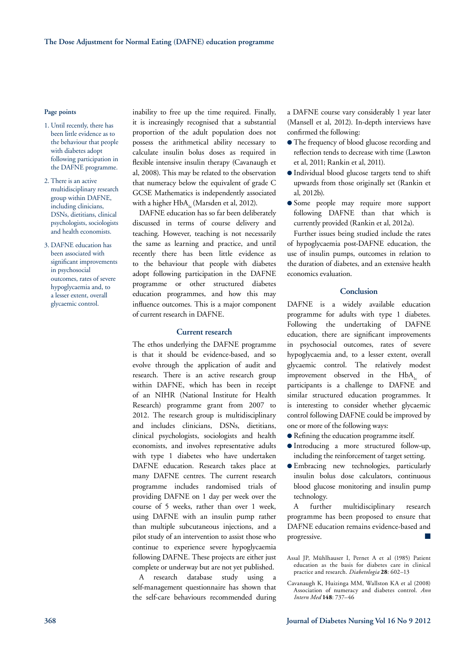#### **Page points**

- 1. Until recently, there has been little evidence as to the behaviour that people with diabetes adopt following participation in the DAFNE programme.
- 2. There is an active multidisciplinary research group within DAFNE, including clinicians, DSNs, dietitians, clinical psychologists, sociologists and health economists.
- 3. DAFNE education has been associated with significant improvements in psychosocial outcomes, rates of severe hypoglycaemia and, to a lesser extent, overall glycaemic control.

inability to free up the time required. Finally, it is increasingly recognised that a substantial proportion of the adult population does not possess the arithmetical ability necessary to calculate insulin bolus doses as required in flexible intensive insulin therapy (Cavanaugh et al, 2008). This may be related to the observation that numeracy below the equivalent of grade C GCSE Mathematics is independently associated with a higher HbA<sub>1c</sub> (Marsden et al, 2012).

DAFNE education has so far been deliberately discussed in terms of course delivery and teaching. However, teaching is not necessarily the same as learning and practice, and until recently there has been little evidence as to the behaviour that people with diabetes adopt following participation in the DAFNE programme or other structured diabetes education programmes, and how this may influence outcomes. This is a major component of current research in DAFNE.

# **Current research**

The ethos underlying the DAFNE programme is that it should be evidence-based, and so evolve through the application of audit and research. There is an active research group within DAFNE, which has been in receipt of an NIHR (National Institute for Health Research) programme grant from 2007 to 2012. The research group is multidisciplinary and includes clinicians, DSNs, dietitians, clinical psychologists, sociologists and health economists, and involves representative adults with type 1 diabetes who have undertaken DAFNE education. Research takes place at many DAFNE centres. The current research programme includes randomised trials of providing DAFNE on 1 day per week over the course of 5 weeks, rather than over 1 week, using DAFNE with an insulin pump rather than multiple subcutaneous injections, and a pilot study of an intervention to assist those who continue to experience severe hypoglycaemia following DAFNE. These projects are either just complete or underway but are not yet published.

A research database study using a self-management questionnaire has shown that the self-care behaviours recommended during a DAFNE course vary considerably 1 year later (Mansell et al, 2012). In-depth interviews have confirmed the following:

- The frequency of blood glucose recording and reflection tends to decrease with time (Lawton et al, 2011; Rankin et al, 2011).
- l Individual blood glucose targets tend to shift upwards from those originally set (Rankin et al, 2012b).
- Some people may require more support following DAFNE than that which is currently provided (Rankin et al, 2012a).

Further issues being studied include the rates of hypoglycaemia post-DAFNE education, the use of insulin pumps, outcomes in relation to the duration of diabetes, and an extensive health economics evaluation.

# **Conclusion**

DAFNE is a widely available education programme for adults with type 1 diabetes. Following the undertaking of DAFNE education, there are significant improvements in psychosocial outcomes, rates of severe hypoglycaemia and, to a lesser extent, overall glycaemic control. The relatively modest improvement observed in the  $HbA_1$  of participants is a challenge to DAFNE and similar structured education programmes. It is interesting to consider whether glycaemic control following DAFNE could be improved by one or more of the following ways:

- Refining the education programme itself.
- l Introducing a more structured follow-up, including the reinforcement of target setting.
- l Embracing new technologies, particularly insulin bolus dose calculators, continuous blood glucose monitoring and insulin pump technology.

A further multidisciplinary research programme has been proposed to ensure that DAFNE education remains evidence-based and progressive.

Assal JP, Mühlhauser I, Pernet A et al (1985) Patient education as the basis for diabetes care in clinical practice and research. *Diabetologia* **28**: 602–13

Cavanaugh K, Huizinga MM, Wallston KA et al (2008) Association of numeracy and diabetes control. *Ann Intern Med* **148**: 737–46